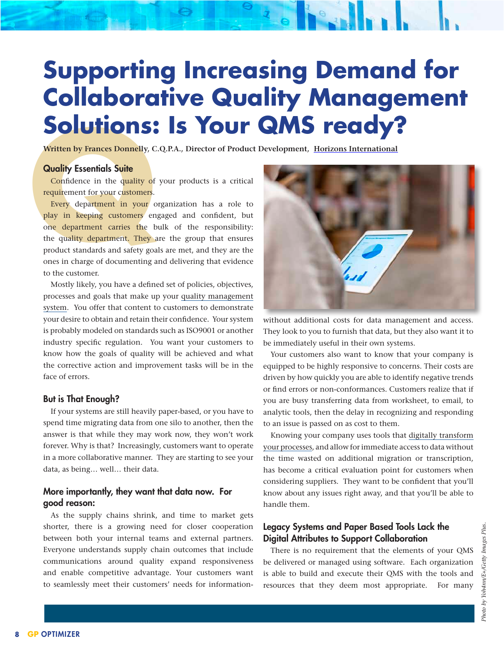# **Supporting Increasing Demand for Collaborative Quality Management Solutions: Is Your QMS ready?**

**Written by Frances Donnelly, C.Q.P.A., Director of Product Development, [Horizons International](http://www.hzs.com)**

#### Quality Essentials Suite

Confidence in the quality of your products is a critical requirement for your customers.

**Example 18 Consider the Set of Allen Set of Allen Set of Allen Set of Personside Confidence in the quality of requirement for your customers.<br>Every department in your customers en one department carries the beduality depa** Every department in your organization has a role to play in keeping customers engaged and confident, but one department carries the bulk of the responsibility: the quality department. They are the group that ensures product standards and safety goals are met, and they are the ones in charge of documenting and delivering that evidence to the customer.

Mostly likely, you have a defined set of policies, objectives, processes and goals that make up your [quality management](https://www.qualityessentialssuite.com/)  [system](https://www.qualityessentialssuite.com/). You offer that content to customers to demonstrate your desire to obtain and retain their confidence. Your system is probably modeled on standards such as ISO9001 or another industry specific regulation. You want your customers to know how the goals of quality will be achieved and what the corrective action and improvement tasks will be in the face of errors.

#### But is That Enough?

If your systems are still heavily paper-based, or you have to spend time migrating data from one silo to another, then the answer is that while they may work now, they won't work forever. Why is that? Increasingly, customers want to operate in a more collaborative manner. They are starting to see your data, as being… well… their data.

### More importantly, they want that data now. For good reason:

As the supply chains shrink, and time to market gets shorter, there is a growing need for closer cooperation between both your internal teams and external partners. Everyone understands supply chain outcomes that include communications around quality expand responsiveness and enable competitive advantage. Your customers want to seamlessly meet their customers' needs for information-



without additional costs for data management and access. They look to you to furnish that data, but they also want it to be immediately useful in their own systems.

Your customers also want to know that your company is equipped to be highly responsive to concerns. Their costs are driven by how quickly you are able to identify negative trends or find errors or non-conformances. Customers realize that if you are busy transferring data from worksheet, to email, to analytic tools, then the delay in recognizing and responding to an issue is passed on as cost to them.

Knowing your company uses tools that [digitally transform](https://www.qualityessentialssuite.com/data-collection-and-data-analysis/) [your processes](https://www.qualityessentialssuite.com/data-collection-and-data-analysis/), and allow for immediate access to data without the time wasted on additional migration or transcription, has become a critical evaluation point for customers when considering suppliers. They want to be confident that you'll know about any issues right away, and that you'll be able to handle them.

### Legacy Systems and Paper Based Tools Lack the Digital Attributes to Support Collaboration

There is no requirement that the elements of your QMS be delivered or managed using software. Each organization is able to build and execute their QMS with the tools and resources that they deem most appropriate. For many